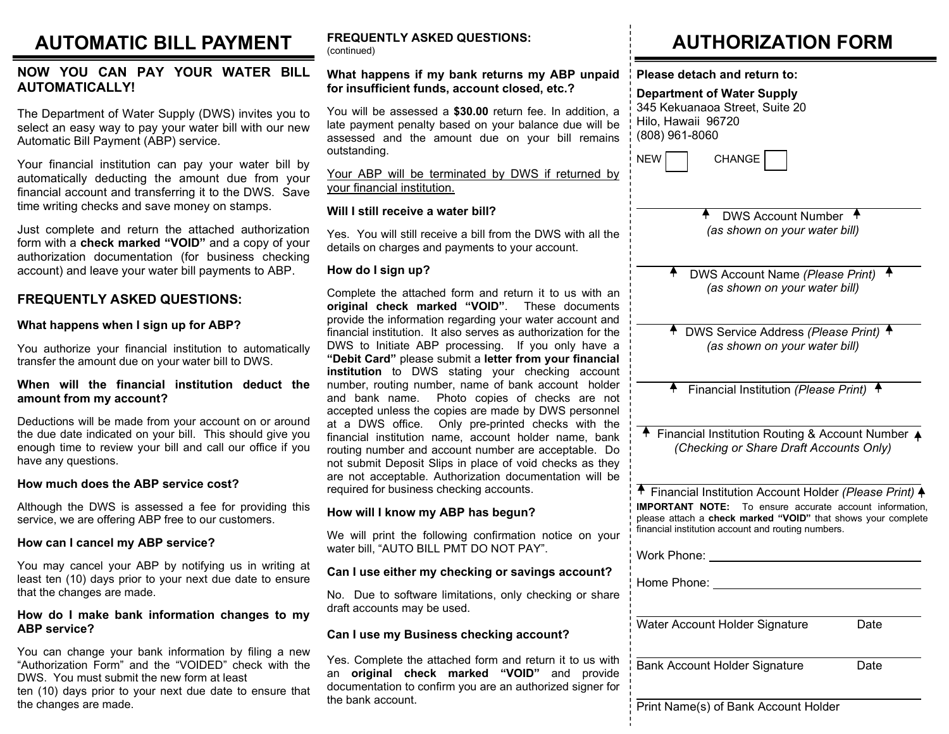## AUTOMATIC BILL PAYMENT

#### NOW YOU CAN PAY YOUR WATER BILL AUTOMATICALLY!

The Department of Water Supply (DWS) invites you to select an easy way to pay your water bill with our new Automatic Bill Payment (ABP) service.

Your financial institution can pay your water bill by automatically deducting the amount due from your financial account and transferring it to the DWS. Save time writing checks and save money on stamps.

Just complete and return the attached authorization form with a check marked "VOID" and a copy of your authorization documentation (for business checking account) and leave your water bill payments to ABP.

### FREQUENTLY ASKED QUESTIONS:

#### What happens when I sign up for ABP?

You authorize your financial institution to automatically transfer the amount due on your water bill to DWS.

#### When will the financial institution deduct the amount from my account?

Deductions will be made from your account on or around the due date indicated on your bill. This should give you enough time to review your bill and call our office if you have any questions.

#### How much does the ABP service cost?

Although the DWS is assessed a fee for providing this service, we are offering ABP free to our customers.

#### How can I cancel my ABP service?

You may cancel your ABP by notifying us in writing at least ten (10) days prior to your next due date to ensure that the changes are made.

#### How do I make bank information changes to my ABP service?

You can change your bank information by filing a new "Authorization Form" and the "VOIDED" check with the DWS. You must submit the new form at least ten (10) days prior to your next due date to ensure that the changes are made.

#### FREQUENTLY ASKED QUESTIONS: (continued)

#### What happens if my bank returns my ABP unpaid for insufficient funds, account closed, etc.?

You will be assessed a \$30.00 return fee. In addition, a late payment penalty based on your balance due will be assessed and the amount due on your bill remains outstanding.

Your ABP will be terminated by DWS if returned by your financial institution.

#### Will I still receive a water bill?

Yes. You will still receive a bill from the DWS with all the details on charges and payments to your account.

#### How do I sign up?

Complete the attached form and return it to us with an original check marked "VOID". These documents provide the information regarding your water account and financial institution. It also serves as authorization for the DWS to Initiate ABP processing. If you only have a "Debit Card" please submit a letter from your financial institution to DWS stating your checking account number, routing number, name of bank account holder and bank name. Photo copies of checks are not accepted unless the copies are made by DWS personnel at a DWS office. Only pre-printed checks with the financial institution name, account holder name, bank routing number and account number are acceptable. Do not submit Deposit Slips in place of void checks as they are not acceptable. Authorization documentation will be required for business checking accounts.

#### How will I know my ABP has begun?

We will print the following confirmation notice on your water bill, "AUTO BILL PMT DO NOT PAY".

#### Can I use either my checking or savings account?

No. Due to software limitations, only checking or share draft accounts may be used.

#### Can I use my Business checking account?

Yes. Complete the attached form and return it to us w an original check marked "VOID" and provi documentation to confirm you are an authorized signer the bank account.

## AUTHORIZATION FORM

Please detach and return to:

#### Department of Water Supply

345 Kekuanaoa Street, Suite 20 Hilo, Hawaii 96720 (808) 961-8060

| NEW | <b>CHANGE</b> |
|-----|---------------|
|-----|---------------|

 $\overline{\phantom{0}}$ 

 $\overline{\phantom{0}}$ 

l

l

| $\ddot{\phantom{1}}$ | <b>DWS Account Number</b>     | $\ddot{\bullet}$ |
|----------------------|-------------------------------|------------------|
|                      | (as shown on your water bill) |                  |

| ÷, | DWS Account Name (Please Print) |  |
|----|---------------------------------|--|
|    | (as shown on your water bill)   |  |

| ↑ DWS Service Address (Please Print) ↑ |  |
|----------------------------------------|--|
| (as shown on your water bill)          |  |

|  | Financial Institution (Please Print) |  |  |
|--|--------------------------------------|--|--|

| Financial Institution Routing & Account Number 4 |                                         |  |
|--------------------------------------------------|-----------------------------------------|--|
|                                                  | (Checking or Share Draft Accounts Only) |  |

| ↑ Financial Institution Account Holder (Please Print) ♦                                                                                                                              |  |  |  |  |
|--------------------------------------------------------------------------------------------------------------------------------------------------------------------------------------|--|--|--|--|
| <b>IMPORTANT NOTE:</b> To ensure accurate account information,<br>please attach a check marked "VOID" that shows your complete<br>financial institution account and routing numbers. |  |  |  |  |

|                    | Work Phone:                          |      |
|--------------------|--------------------------------------|------|
| ?                  | Home Phone:                          |      |
| are                |                                      |      |
|                    | Water Account Holder Signature       | Date |
|                    |                                      |      |
| vith<br>ide<br>for | <b>Bank Account Holder Signature</b> | Date |
|                    | Print Name(s) of Bank Account Holder |      |